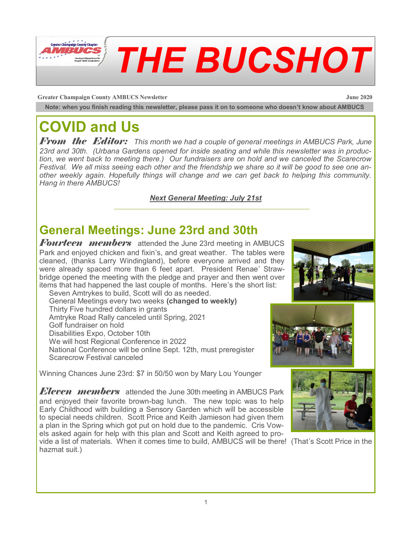

**Greater Champaign County AMBUCS Newsletter June 2020**

**Note: when you finish reading this newsletter, please pass it on to someone who doesn't know about AMBUCS**

# **COVID and Us**

*From the Editor: This month we had a couple of general meetings in AMBUCS Park, June 23rd and 30th. (Urbana Gardens opened for inside seating and while this newsletter was in production, we went back to meeting there.) Our fundraisers are on hold and we canceled the Scarecrow Festival. We all miss seeing each other and the friendship we share so it will be good to see one another weekly again. Hopefully things will change and we can get back to helping this community. Hang in there AMBUCS!* 

#### *Next General Meeting: July 21st*

# **General Meetings: June 23rd and 30th**

*Fourteen members* attended the June 23rd meeting in AMBUCS Park and enjoyed chicken and fixin's, and great weather. The tables were cleaned, (thanks Larry Windingland), before everyone arrived and they were already spaced more than 6 feet apart. President Renae' Strawbridge opened the meeting with the pledge and prayer and then went over items that had happened the last couple of months. Here's the short list:

Seven Amtrykes to build, Scott will do as needed. General Meetings every two weeks **(changed to weekly)** Thirty Five hundred dollars in grants Amtryke Road Rally canceled until Spring, 2021 Golf fundraiser on hold Disabilities Expo, October 10th We will host Regional Conference in 2022 National Conference will be online Sept. 12th, must preregister Scarecrow Festival canceled

Winning Chances June 23rd: \$7 in 50/50 won by Mary Lou Younger

*Eleven members* attended the June 30th meeting in AMBUCS Park and enjoyed their favorite brown-bag lunch. The new topic was to help Early Childhood with building a Sensory Garden which will be accessible to special needs children. Scott Price and Keith Jamieson had given them a plan in the Spring which got put on hold due to the pandemic. Cris Vowels asked again for help with this plan and Scott and Keith agreed to pro-









1